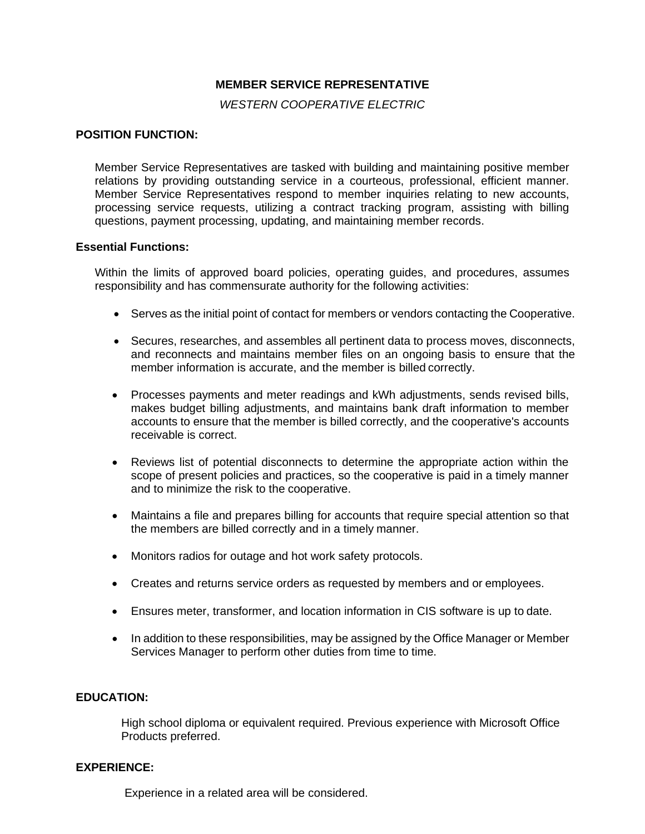# **MEMBER SERVICE REPRESENTATIVE**

*WESTERN COOPERATIVE ELECTRIC*

### **POSITION FUNCTION:**

Member Service Representatives are tasked with building and maintaining positive member relations by providing outstanding service in a courteous, professional, efficient manner. Member Service Representatives respond to member inquiries relating to new accounts, processing service requests, utilizing a contract tracking program, assisting with billing questions, payment processing, updating, and maintaining member records.

#### **Essential Functions:**

Within the limits of approved board policies, operating guides, and procedures, assumes responsibility and has commensurate authority for the following activities:

- Serves as the initial point of contact for members or vendors contacting the Cooperative.
- Secures, researches, and assembles all pertinent data to process moves, disconnects, and reconnects and maintains member files on an ongoing basis to ensure that the member information is accurate, and the member is billed correctly.
- Processes payments and meter readings and kWh adjustments, sends revised bills, makes budget billing adjustments, and maintains bank draft information to member accounts to ensure that the member is billed correctly, and the cooperative's accounts receivable is correct.
- Reviews list of potential disconnects to determine the appropriate action within the scope of present policies and practices, so the cooperative is paid in a timely manner and to minimize the risk to the cooperative.
- Maintains a file and prepares billing for accounts that require special attention so that the members are billed correctly and in a timely manner.
- Monitors radios for outage and hot work safety protocols.
- Creates and returns service orders as requested by members and or employees.
- Ensures meter, transformer, and location information in CIS software is up to date.
- In addition to these responsibilities, may be assigned by the Office Manager or Member Services Manager to perform other duties from time to time.

### **EDUCATION:**

High school diploma or equivalent required. Previous experience with Microsoft Office Products preferred.

### **EXPERIENCE:**

Experience in a related area will be considered.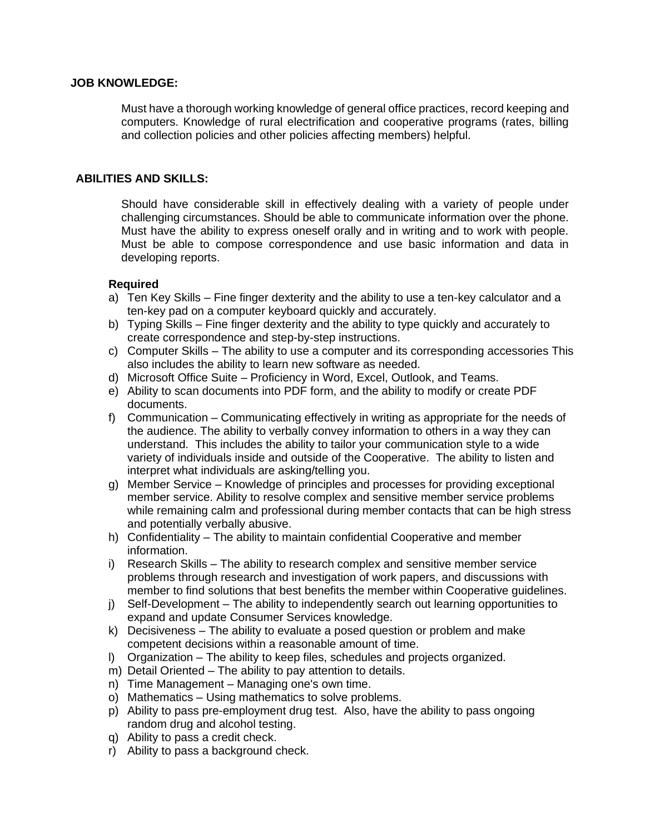### **JOB KNOWLEDGE:**

Must have a thorough working knowledge of general office practices, record keeping and computers. Knowledge of rural electrification and cooperative programs (rates, billing and collection policies and other policies affecting members) helpful.

### **ABILITIES AND SKILLS:**

Should have considerable skill in effectively dealing with a variety of people under challenging circumstances. Should be able to communicate information over the phone. Must have the ability to express oneself orally and in writing and to work with people. Must be able to compose correspondence and use basic information and data in developing reports.

## **Required**

- a) Ten Key Skills Fine finger dexterity and the ability to use a ten-key calculator and a ten-key pad on a computer keyboard quickly and accurately.
- b) Typing Skills Fine finger dexterity and the ability to type quickly and accurately to create correspondence and step-by-step instructions.
- c) Computer Skills The ability to use a computer and its corresponding accessories This also includes the ability to learn new software as needed.
- d) Microsoft Office Suite Proficiency in Word, Excel, Outlook, and Teams.
- e) Ability to scan documents into PDF form, and the ability to modify or create PDF documents.
- f) Communication Communicating effectively in writing as appropriate for the needs of the audience. The ability to verbally convey information to others in a way they can understand. This includes the ability to tailor your communication style to a wide variety of individuals inside and outside of the Cooperative. The ability to listen and interpret what individuals are asking/telling you.
- g) Member Service Knowledge of principles and processes for providing exceptional member service. Ability to resolve complex and sensitive member service problems while remaining calm and professional during member contacts that can be high stress and potentially verbally abusive.
- h) Confidentiality The ability to maintain confidential Cooperative and member information.
- i) Research Skills The ability to research complex and sensitive member service problems through research and investigation of work papers, and discussions with member to find solutions that best benefits the member within Cooperative guidelines.
- j) Self-Development The ability to independently search out learning opportunities to expand and update Consumer Services knowledge.
- k) Decisiveness The ability to evaluate a posed question or problem and make competent decisions within a reasonable amount of time.
- l) Organization The ability to keep files, schedules and projects organized.
- m) Detail Oriented The ability to pay attention to details.
- n) Time Management Managing one's own time.
- o) Mathematics Using mathematics to solve problems.
- p) Ability to pass pre-employment drug test. Also, have the ability to pass ongoing random drug and alcohol testing.
- q) Ability to pass a credit check.
- r) Ability to pass a background check.